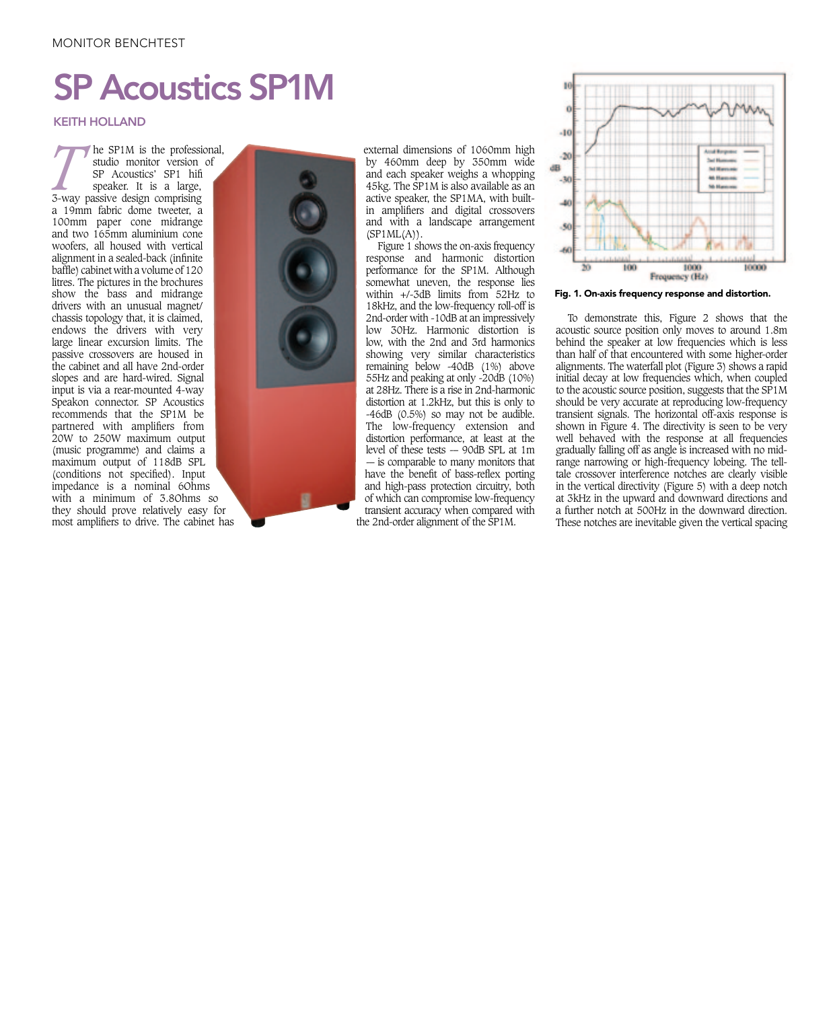## MONITOR BENCHTEST

# SP Acoustics SP1M

### KEITH HOLLAND

they should prove relatively easy for **The SP1M is the professional,** studio monitor version of SP Acoustics' SP1 hifi speaker. It is a large, 3-way passive design comprising studio monitor version of SP Acoustics' SP1 hifi speaker. It is a large, a 19mm fabric dome tweeter, a 100mm paper cone midrange and two 165mm aluminium cone woofers, all housed with vertical alignment in a sealed-back (infinite baffle) cabinet with a volume of 120 litres. The pictures in the brochures show the bass and midrange drivers with an unusual magnet/ chassis topology that, it is claimed, endows the drivers with very large linear excursion limits. The passive crossovers are housed in the cabinet and all have 2nd-order slopes and are hard-wired. Signal input is via a rear-mounted 4-way Speakon connector. SP Acoustics recommends that the SP1M be partnered with amplifiers from 20W to 250W maximum output (music programme) and claims a maximum output of 118dB SPL (conditions not specified). Input impedance is a nominal 6Ohms with a minimum of 3.8Ohms so most amplifiers to drive. The cabinet has



external dimensions of 1060mm high by 460mm deep by 350mm wide and each speaker weighs a whopping 45kg. The SP1M is also available as an active speaker, the SP1MA, with builtin amplifiers and digital crossovers and with a landscape arrangement  $(SP1ML(A)).$ 

Figure 1 shows the on-axis frequency response and harmonic distortion performance for the SP1M. Although somewhat uneven, the response lies within  $+/-3$ dB limits from  $52$ Hz to 18kHz, and the low-frequency roll-off is 2nd-order with -10dB at an impressively low 30Hz. Harmonic distortion is low, with the 2nd and 3rd harmonics showing very similar characteristics remaining below -40dB (1%) above 55Hz and peaking at only -20dB (10%) at 28Hz. There is a rise in 2nd-harmonic distortion at 1.2kHz, but this is only to -46dB (0.5%) so may not be audible. The low-frequency extension and distortion performance, at least at the level of these tests  $-$  90dB SPL at 1m -– is comparable to many monitors that have the benefit of bass-reflex porting and high-pass protection circuitry, both of which can compromise low-frequency transient accuracy when compared with the 2nd-order alignment of the SP1M.



Fig. 1. On-axis frequency response and distortion.

To demonstrate this, Figure 2 shows that the acoustic source position only moves to around 1.8m behind the speaker at low frequencies which is less than half of that encountered with some higher-order alignments. The waterfall plot (Figure 3) shows a rapid initial decay at low frequencies which, when coupled to the acoustic source position, suggests that the  $SPM$ should be very accurate at reproducing low-frequency transient signals. The horizontal off-axis response is shown in Figure 4. The directivity is seen to be very well behaved with the response at all frequencies gradually falling off as angle is increased with no midrange narrowing or high-frequency lobeing. The telltale crossover interference notches are clearly visible in the vertical directivity (Figure 5) with a deep notch at 3kHz in the upward and downward directions and a further notch at 500Hz in the downward direction. These notches are inevitable given the vertical spacing